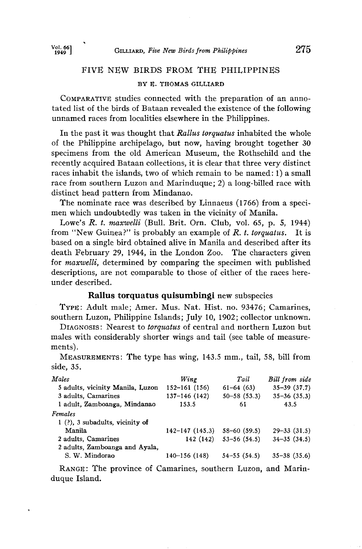# **FIVE NEW BIRDS FROM THE PHILIPPINES**

#### **BY E. THOMAS GILLIARD**

**COMPARATIVE studies connected with the preparation of an annotated list of the birds of Bataan revealed the existence of the following unnamed races from localities elsewhere in the Philippines.** 

**In the past it was thought that Rallus torquatus inhabited the whole of the Philippine archipelago, but now, having brought together 30 specimens from the old American Museum, the Rothschild and the recently acquired Bataan collections, it is clear that three very distinct races inhabit the islands, two of which remain to be named: 1) a small race from southern Luzon and Marinduque; 2) a long-billed race with distinct head pattern from Mindanao.** 

**The nominate race was described by Linnaeus (1766) from a specimen which undoubtedly was taken in the vicinity of Manila.** 

Lowe's *R. t. maxwelli* (Bull. Brit. Orn. Club, vol. 65, p. 5, 1944) **pm** "New Guinea?" is probably an example of *R. t. torquatus*. It is from "New Guinea?" is probably an example of R. t. torquatus. **based on a single bird obtained alive in Manila and described after its**  death February 29, 1944, in the London Zoo. **for maxwelli, determined by comparing the specimen with published descriptions, are not comparable to those of either of the races hereunder described.** 

## **Railus torquatus quisumbingi** new subspecies

**TYPE: Adult male; Amer. Mus. Nat. Hist. no. 93476; Camarines, southern Luzon, Philippine Islands; July 10, 1902; collector unknown.** 

**DIAGNOSIS: Nearest to torquatus of central and northern Luzon but males with considerably shorter wings and tail (see table of measurements).** 

**MEASUREMENTS: The type has wing, 143.5 min., tail, 58, bill from side, 35.** 

| Males                             | Wing                | Tail               | Bill from side     |
|-----------------------------------|---------------------|--------------------|--------------------|
| 5 adults, vicinity Manila, Luzon  | $152 - 161$ (156)   | $61-64(63)$        | $35 - 39$ $(37.7)$ |
| 3 adults, Camarines               | $137 - 146$ (142)   | $50 - 58$ $(53.3)$ | $35 - 36$ $(35.3)$ |
| 1 adult, Zamboanga, Mindanao      | 153.5               | 61                 | 43.5               |
| Females                           |                     |                    |                    |
| $1$ (?), 3 subadults, vicinity of |                     |                    |                    |
| Manila                            | $142 - 147$ (145.3) | $58 - 60$ (59.5)   | $29 - 33$ $(31.5)$ |
| 2 adults, Camarines               | 142 (142)           | $53 - 56(54.5)$    | $34 - 35(34.5)$    |
| 2 adults, Zamboanga and Ayala,    |                     |                    |                    |
| S. W. Mindorao                    | 140-156 (148)       | $54 - 55(54.5)$    | $35 - 38$ $(35.6)$ |

RANGE: The province of Camarines, southern Luzon, and Marin**duque Island.**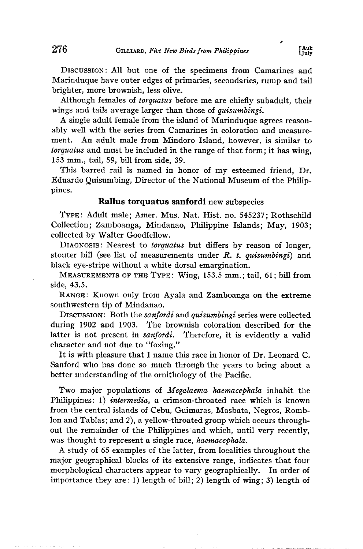DISCUSSION: All but one of the specimens from Camarines and **Marinduque have outer edges of primaries, secondaries, rump and tail brighter, more brownish, less olive.** 

**Although females of torquatus before me are chiefly subadult, their wings and tails average larger than those of quisumbingi.** 

**A single adult female from the island of Marinduque agrees reasonably well with the series from Camarines in coloration and measurement. An adult male from Mindoro Island, however, is similar to torquatus and must be included in the range of that form; it has wing, 153 ram., tail, 59, bill from side, 39.** 

**This barred rail is named in honor of my esteemed friend, Dr. Eduardo Quisumbing, Director of the National Museum of the Philippines.** 

#### **Railus torquatus sanfordi new subspecies**

**TYPE: Adult male; Amer. Mus. Nat. Hist. no. 545237; Rothschild Collection; Zamboanga, Mindanao, Philippine Islands; May, 1903; collected by Walter Goodfellow.** 

**DIAGNOSIS: Nearest to torquatus but differs by reason of longer, stouter bill (see list of measurements under R. t. quisumbingi) and black eye-stripe without a white dorsal emargination.** 

**MEASUREMENTS OF THE TYPE: Wing, 153.5 mm.; tail, 61; bill from side, 43.5.** 

**RANGE: Known only from Ayala and Zamboanga on the extreme southwestern tip of Mindanao.** 

Discussion: Both the sanfordi and quisumbingi series were collected **during 1902 and 1903. The brownish coloration described for the**  Therefore, it is evidently a valid **character and not due to "foxing."** 

**It is with pleasure that I name this race in honor of Dr. Leonard C. Sanford who has done so much through the years to bring about a better understanding of the ornithology of the Pacific.** 

**Two major populations of Megalaema haemacephala inhabit the Philippines: 1) intermedia, a crimson-throated race which is known from the central islands of Cebu, Guimaras, Masbata, Negros, Romblon and Tablas; and 2), a yellow-throated group which occurs throughout the remainder of the Philippines and which, until very recently, was thought to represent a single race, haemacephala.** 

**A study of 65 examples of the latter, from localities throughout the major geographical blocks of its extensive range, indicates that four morphological characters appear to vary geographically. In order of importance they are: 1) length of bill; 2) length of wing; 3) length of**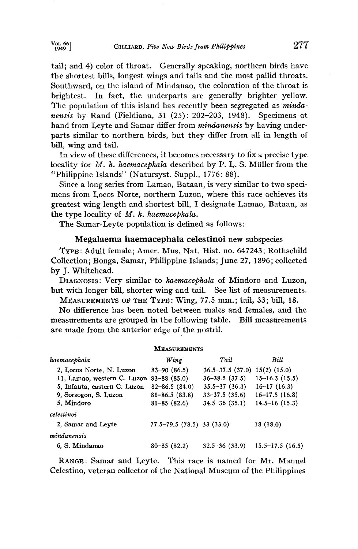**tail; and 4) color of throat. Generally speaking, northern birds have the shortest bills, longest wings and tails and the most pallid throats. Southward, on the island of Mindanao, the coloration of the throat is brightest. In fact, the underparts are generally brighter yellow.**  The population of this island has recently been segregated as *minda***nensis by Rand (Fiddiana, 31 (25): 202-203, 1948). Specimens at**  hand from Leyte and Samar differ from *mindanensis* by having under**parts similar to northern birds, but they differ from all in length of bill, wing and tail.** 

**In view of these differences, it becomes necessary to fix a precise type locality for M. h. haemacephala described by P. L. S. Müller from the "Philippine Islands" (Natursyst. Suppl., 1776: 88).** 

**Since a long series from Lamao, Bataan, is very similar to two specimens from Locos Norte, northern Luzon, where this race achieves its greatest wing length and shortest bill, I designate Lamao, Bataan, as the type locality of M. h. haemacephala.** 

**The Samar-Leyte population is defined as follows:** 

## **Megalaema haemacephala celestinoi new subspecies**

**TYRE: Adult female; Amer. Mus. Nat. Hist. no. 647243; Rothschild Collection; Bonga, Samar, Philippine Islands; June 27, 1896; collected by J. Whitehead.** 

DIAGNOSIS: Very similar to *haemacephala* of Mindoro and Luzon, **but with longer bill, shorter wing and tail. See list of measurements.** 

**MEASUREMENTS OF THE TYPE: Wing, 77.5 mm.; tail, 33; bill, 18.** 

**No difference has been noted between males and females, and the measurements are grouped in the following table. Bill measurements are made from the anterior edge of the nostril.** 

#### **MEASUREMENTS**

| haemacephala                             | Wing                       | Tail                   | Bill                |
|------------------------------------------|----------------------------|------------------------|---------------------|
| 2, Locos Norte, N. Luzon                 | $83 - 90$ $(86.5)$         | $36.5 - 37.5$ $(37.0)$ | $15(2)$ (15.0)      |
| 11, Lamao, western C. Luzon 83-88 (85.0) |                            | $36 - 38.5$ (37.5)     | $15 - 16.5$ (15.5)  |
| 5, Infanta, eastern C. Luzon             | $82 - 86.5(84.0)$          | $35.5 - 37$ (36.3)     | $16 - 17(16.3)$     |
| 9, Sorsogon, S. Luzon                    | $81 - 86.5(83.8)$          | $33 - 37.5$ (35.6)     | $16 - 17.5$ (16.8)  |
| 5. Mindoro                               | $81 - 85(82.6)$            | $34.5 - 36$ (35.1)     | $14.5 - 16(15.3)$   |
| celestinoi                               |                            |                        |                     |
| 2. Samar and Leyte                       | 77.5-79.5 (78.5) 33 (33.0) |                        | 18(18.0)            |
| mindanensis                              |                            |                        |                     |
| 6. S. Mindanao                           | $80 - 85(82.2)$            | $32.5 - 36(33.9)$      | $15.5 - 17.5(16.5)$ |

**RANGE: Samar and Leyte. This race is named for Mr. Manuel Celestino, veteran collector of the National Museum of the Philippines**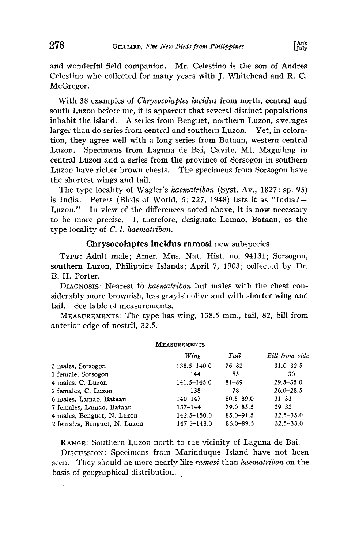**and wonderful field companion. Mr. Celestino is the son of Andres Celestino who collected for many years with J. Whitehead and R. C. McGregor.** 

**With 38 examples of Chrysocolaptes lucidus from north, central and south Luzon before me, it is apparent that several distinct populations inhabit the island. A series from Benguet, northern Luzon, averages larger than do series from central and southern Luzon. Yet, in coloration, they agree well with a long series from Bataan, western central Luzon. Specimens from Laguna de Bai, Cavite, Mt. Maguiling in central Luzon and a series from the province of Sorsogon in southern Luzon have richer brown chests. The specimens from Sorsogon have the shortest wings and tail.** 

The type locality of Wagler's *haematribon* (Syst. Av., 1827: sp. 95) is India. Peters (Birds of World, 6: 227, 1948) lists it as "India? is India. Peters (Birds of World,  $6: 227$ , 1948) lists it as "India? =  $\frac{1}{2}$  Luzon." In view of the differences noted above, it is now necessary In view of the differences noted above, it is now necessary **to be more precise. I, therefore, designate Lamao, Bataan, as the type locality of C. l. haematribon.** 

### **Chrysocolaptes lucidus ramosi new subspecies**

TYPE: Adult male; Amer. Mus. Nat. Hist. no. 94131; Sorsogon, **southern Luzon, Philippine Islands; April 7, 1903; collected by Dr. E. H. Porter.** 

**DIAGNOSIS: Nearest to haematribon but males with the chest considerably more brownish, less grayish olive and with shorter wing and tail. See table of measurements.** 

MEASUREMENTS: The type has wing, 138.5 mm., tail, 82, bill from **anterior edge of nostril, 32.5.** 

**MEASUREMENTS** 

|                              | Wing            | Tail          | Bill from side |  |
|------------------------------|-----------------|---------------|----------------|--|
| 3 males, Sorsogon            | $138.5 - 140.0$ | $76 - 82$     | $31.0 - 32.5$  |  |
| 1 female, Sorsogon           | 144             | 85            | 30             |  |
| 4 males, C. Luzon            | $141.5 - 145.0$ | $81 - 89$     | $29.5 - 35.0$  |  |
| 2 females, C. Luzon          | 138             | 78            | $26.0 - 28.5$  |  |
| 6 males, Lamao, Bataan       | $140 - 147$     | $80.5 - 89.0$ | $31 - 33$      |  |
| 7 females, Lamao, Bataan     | $137 - 144$     | $79.0 - 85.5$ | $29 - 32$      |  |
| 4 males, Benguet, N. Luzon   | $142.5 - 150.0$ | $85.0 - 91.5$ | $32.5 - 35.0$  |  |
| 2 females, Benguet, N. Luzon | $147.5 - 148.0$ | $86.0 - 89.5$ | $32.5 - 33.0$  |  |
|                              |                 |               |                |  |

**RANGe: Southern Luzon north to the vicinity of Laguna de Bai. DISCUSSION: Specimens from Marinduque Island have not been seen. They should be more nearly like ramosi than haematribon on the basis of geographical distribution. ,**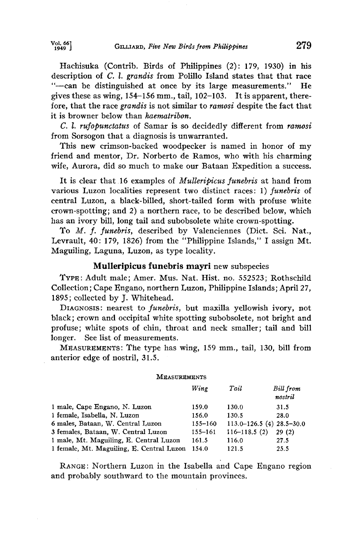**Hachisuka (Contrib. Birds of Philippines (2): 179, 1930) in his description of C. 1. grandis from Polillo Island states that that race**  "---can be distinguished at once by its large measurements." gives these as wing, 154–156 mm., tail, 102–103. It is apparent, therefore, that the race grandis is not similar to *ramosi* despite the fact that it is browner below than *haematribon*.

**C. 1. rufopunctatus of Samar is so decidedly different from ramosi from Sorsogon that a diagnosis is unwarranted.** 

**This new crimson-backed woodpecker is named in honor of my friend and mentor, Dr. Norberto de Ramos, who with his charming wife, Aurora, did so much to make our Bataan Expedition a success.** 

**It is clear that 16 examples of Mulleripicus funebris at hand from**  various Luzon localities represent two distinct races: 1) funebris of **central Luzon, a black-billed, short-tailed form with profuse white crown-spotting; and 2) a northern race, to be described below, which has an ivory bill, long tail and subobsolete white crown-spotting.** 

**To M. f. funebris, described by Valenciennes (Diet. Sci. Nat., Levrault, 40: 179, 1826) from the "Philippine Islands," I assign Mt. Maguiling, Laguna, Luzon, as type locality.** 

## **Mulleripicus funebris mayri new subspecies**

**TYPE: Adult male; Amer. Mus. Nat. Hist. no. 552523; Rothschild Collection; Cape Engano, northern Luzon, Philippine Islands; April 27, 1895; collected by J. Whitehead.** 

DIAGNOSIS: nearest to *funebris*, but maxilla yellowish ivory, not **black; crown and occipital white spotting subobsolete, not bright and profuse; white spots of chin, throat and neck smaller; tail and bill longer. See list of measurements.** 

**MEASUREMENTS: The type has wing, 159 mm., tail, 130, bill from anterior edge of nostril, 31.5.** 

#### **MEASUREMENTS**

|                                           | Wine        | Tail                              | <b>Bill</b> from<br>nostril |
|-------------------------------------------|-------------|-----------------------------------|-----------------------------|
| 1 male, Cape Engano, N. Luzon             | 159.0       | 130.0                             | 31.5                        |
| 1 female, Isabella, N. Luzon              | 156.0       | 130.5                             | 28.0                        |
| 6 males, Bataan, W. Central Luzon         | $155 - 160$ | $113.0 - 126.5$ (4) $28.5 - 30.0$ |                             |
| 3 females, Bataan, W. Central Luzon       | $155 - 161$ | $116 - 118.5(2)$                  | 29(2)                       |
| 1 male, Mt. Maguiling, E. Central Luzon   | 161.5       | 116.0                             | 27.5                        |
| 1 female, Mt. Maguiling, E. Central Luzon | 154.0       | 121.5                             | 25.5                        |

RANGE: Northern Luzon in the Isabella and Cape Engano region **and probably southward to the mountain provinces.**